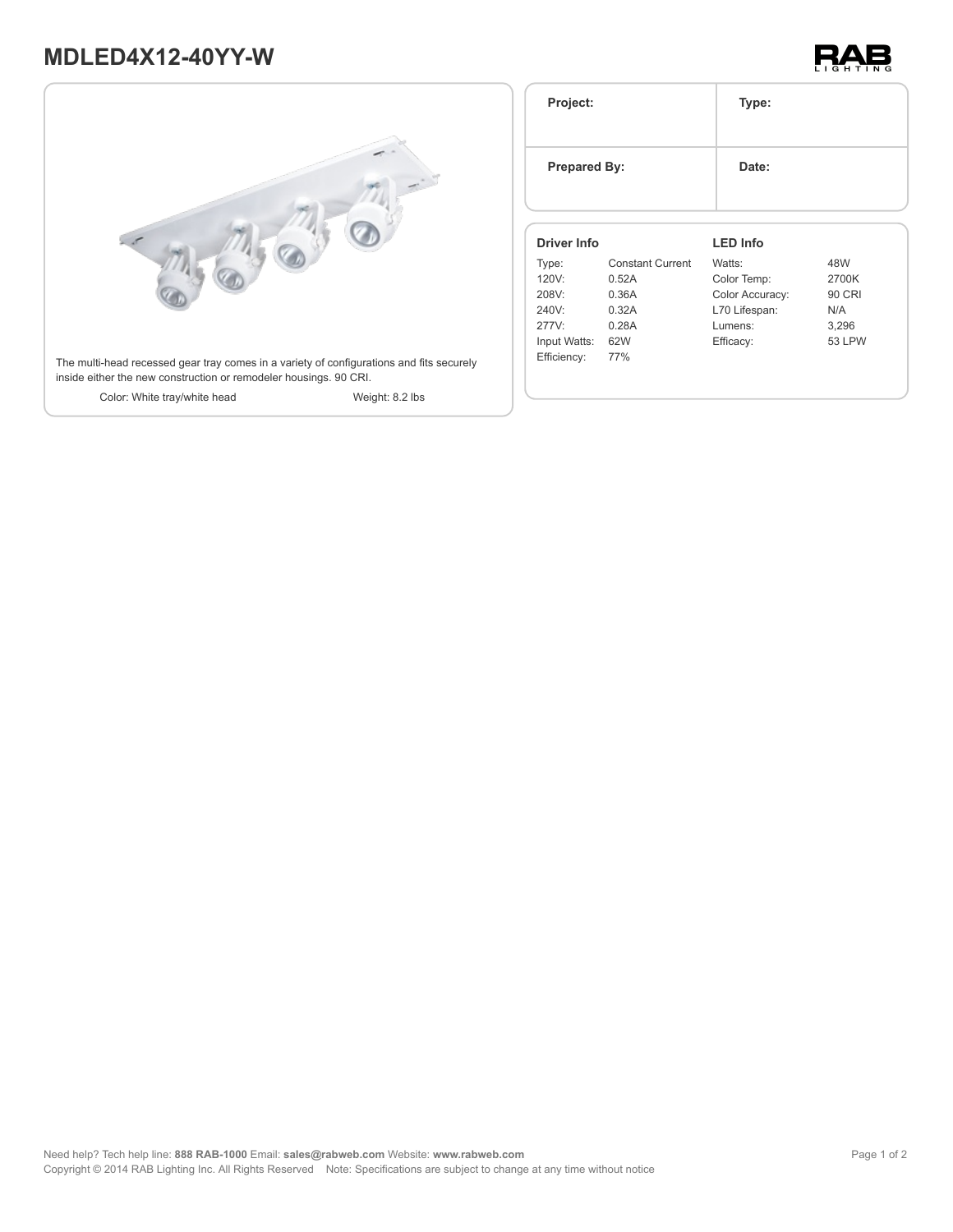# **MDLED4X12-40YY-W**





| Project:<br><b>Prepared By:</b><br>Driver Info |                         | Type:           |               |
|------------------------------------------------|-------------------------|-----------------|---------------|
|                                                |                         | Date:           |               |
|                                                |                         | <b>LED Info</b> |               |
| Type:                                          | <b>Constant Current</b> | Watts:          | 48W           |
| 120V:                                          | 0.52A                   | Color Temp:     | 2700K         |
| 208V:                                          | 0.36A                   | Color Accuracy: | <b>90 CRI</b> |
| 240V:                                          | 0.32A                   | L70 Lifespan:   | N/A           |
| 277V:                                          | 0.28A                   | Lumens:         | 3,296         |
|                                                |                         |                 |               |
| Input Watts:                                   | 62W                     | Efficacy:       | <b>53 LPW</b> |